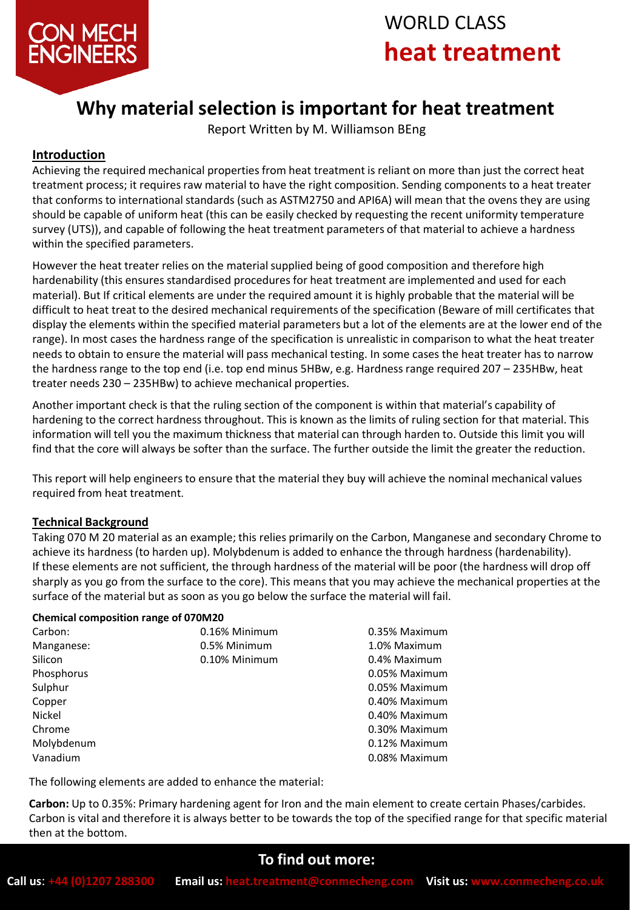

# WORLD CLASS **heat treatment**

## **Why material selection is important for heat treatment**

Report Written by M. Williamson BEng

#### **Introduction**

Achieving the required mechanical properties from heat treatment is reliant on more than just the correct heat treatment process; it requires raw material to have the right composition. Sending components to a heat treater that conforms to international standards (such as ASTM2750 and API6A) will mean that the ovens they are using should be capable of uniform heat (this can be easily checked by requesting the recent uniformity temperature survey (UTS)), and capable of following the heat treatment parameters of that material to achieve a hardness within the specified parameters.

However the heat treater relies on the material supplied being of good composition and therefore high hardenability (this ensures standardised procedures for heat treatment are implemented and used for each material). But If critical elements are under the required amount it is highly probable that the material will be difficult to heat treat to the desired mechanical requirements of the specification (Beware of mill certificates that display the elements within the specified material parameters but a lot of the elements are at the lower end of the range). In most cases the hardness range of the specification is unrealistic in comparison to what the heat treater needs to obtain to ensure the material will pass mechanical testing. In some cases the heat treater has to narrow the hardness range to the top end (i.e. top end minus 5HBw, e.g. Hardness range required 207 – 235HBw, heat treater needs 230 – 235HBw) to achieve mechanical properties.

Another important check is that the ruling section of the component is within that material's capability of hardening to the correct hardness throughout. This is known as the limits of ruling section for that material. This information will tell you the maximum thickness that material can through harden to. Outside this limit you will find that the core will always be softer than the surface. The further outside the limit the greater the reduction.

This report will help engineers to ensure that the material they buy will achieve the nominal mechanical values required from heat treatment.

#### **Technical Background**

Taking 070 M 20 material as an example; this relies primarily on the Carbon, Manganese and secondary Chrome to achieve its hardness (to harden up). Molybdenum is added to enhance the through hardness (hardenability). If these elements are not sufficient, the through hardness of the material will be poor (the hardness will drop off sharply as you go from the surface to the core). This means that you may achieve the mechanical properties at the surface of the material but as soon as you go below the surface the material will fail.

#### **Chemical composition range of 070M20**

| Carbon:    | 0.16% Minimum | 0.35% Maximum |
|------------|---------------|---------------|
| Manganese: | 0.5% Minimum  | 1.0% Maximum  |
| Silicon    | 0.10% Minimum | 0.4% Maximum  |
| Phosphorus |               | 0.05% Maximum |
| Sulphur    |               | 0.05% Maximum |
| Copper     |               | 0.40% Maximum |
| Nickel     |               | 0.40% Maximum |
| Chrome     |               | 0.30% Maximum |
| Molybdenum |               | 0.12% Maximum |
| Vanadium   |               | 0.08% Maximum |

The following elements are added to enhance the material:

**Carbon:** Up to 0.35%: Primary hardening agent for Iron and the main element to create certain Phases/carbides. Carbon is vital and therefore it is always better to be towards the top of the specified range for that specific material then at the bottom.

## **To find out more:**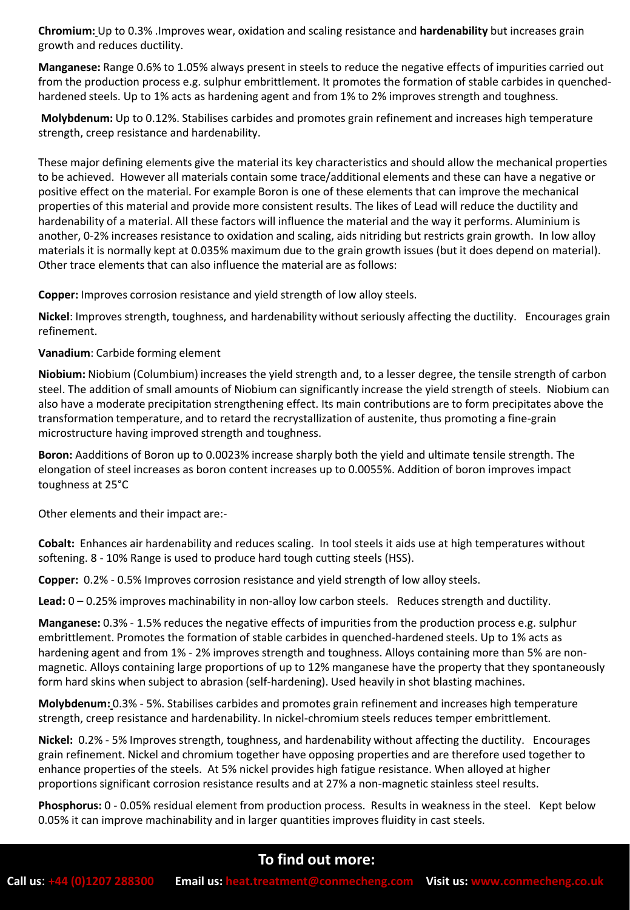**Chromium:** Up to 0.3% .Improves wear, oxidation and scaling resistance and **hardenability** but increases grain growth and reduces ductility.

**Manganese:** Range 0.6% to 1.05% always present in steels to reduce the negative effects of impurities carried out from the production process e.g. sulphur embrittlement. It promotes the formation of stable carbides in quenchedhardened steels. Up to 1% acts as hardening agent and from 1% to 2% improves strength and toughness.

**Molybdenum:** Up to 0.12%. Stabilises carbides and promotes grain refinement and increases high temperature strength, creep resistance and hardenability.

These major defining elements give the material its key characteristics and should allow the mechanical properties to be achieved. However all materials contain some trace/additional elements and these can have a negative or positive effect on the material. For example Boron is one of these elements that can improve the mechanical properties of this material and provide more consistent results. The likes of Lead will reduce the ductility and hardenability of a material. All these factors will influence the material and the way it performs. Aluminium is another, 0-2% increases resistance to oxidation and scaling, aids nitriding but restricts grain growth. In low alloy materials it is normally kept at 0.035% maximum due to the grain growth issues (but it does depend on material). Other trace elements that can also influence the material are as follows:

**Copper:** Improves corrosion resistance and yield strength of low alloy steels.

**Nickel**: Improves strength, toughness, and hardenability without seriously affecting the ductility. Encourages grain refinement.

#### **Vanadium**: Carbide forming element

**Niobium:** Niobium (Columbium) increases the yield strength and, to a lesser degree, the tensile strength of carbon steel. The addition of small amounts of Niobium can significantly increase the yield strength of steels. Niobium can also have a moderate precipitation strengthening effect. Its main contributions are to form precipitates above the transformation temperature, and to retard the recrystallization of austenite, thus promoting a fine-grain microstructure having improved strength and toughness.

**Boron:** Aadditions of Boron up to 0.0023% increase sharply both the yield and ultimate tensile strength. The elongation of steel increases as boron content increases up to 0.0055%. Addition of boron improves impact toughness at 25°C

Other elements and their impact are:-

**Cobalt:** Enhances air hardenability and reduces scaling. In tool steels it aids use at high temperatures without softening. 8 - 10% Range is used to produce hard tough cutting steels (HSS).

**Copper:** 0.2% - 0.5% Improves corrosion resistance and yield strength of low alloy steels.

**Lead:** 0 – 0.25% improves machinability in non-alloy low carbon steels. Reduces strength and ductility.

**Manganese:** 0.3% - 1.5% reduces the negative effects of impurities from the production process e.g. sulphur embrittlement. Promotes the formation of stable carbides in quenched-hardened steels. Up to 1% acts as hardening agent and from 1% - 2% improves strength and toughness. Alloys containing more than 5% are nonmagnetic. Alloys containing large proportions of up to 12% manganese have the property that they spontaneously form hard skins when subject to abrasion (self-hardening). Used heavily in shot blasting machines.

**Molybdenum:** 0.3% - 5%. Stabilises carbides and promotes grain refinement and increases high temperature strength, creep resistance and hardenability. In nickel-chromium steels reduces temper embrittlement.

**Nickel:** 0.2% - 5% Improves strength, toughness, and hardenability without affecting the ductility. Encourages grain refinement. Nickel and chromium together have opposing properties and are therefore used together to enhance properties of the steels. At 5% nickel provides high fatigue resistance. When alloyed at higher proportions significant corrosion resistance results and at 27% a non-magnetic stainless steel results.

**Phosphorus:** 0 - 0.05% residual element from production process. Results in weakness in the steel. Kept below 0.05% it can improve machinability and in larger quantities improves fluidity in cast steels.

## **To find out more:**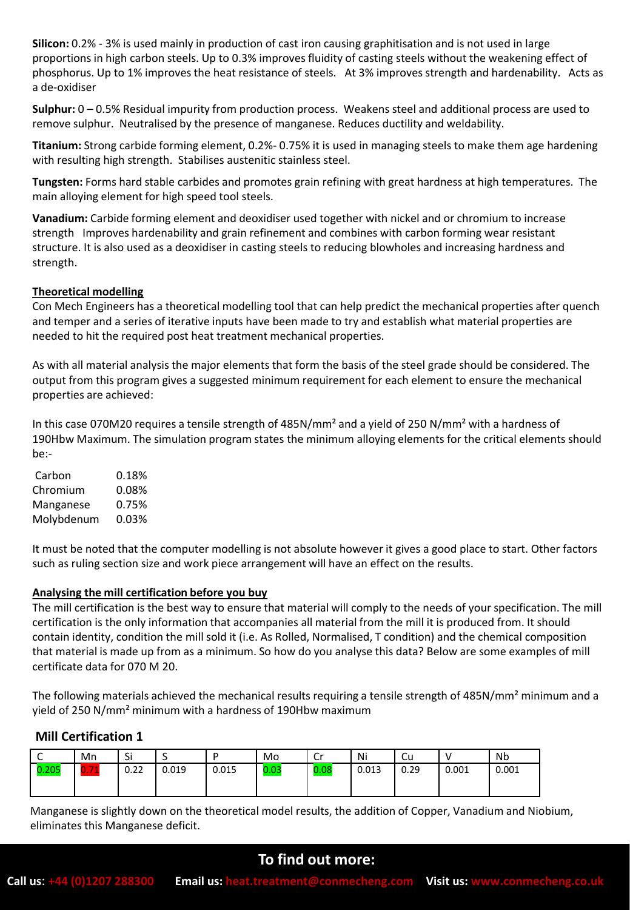**Silicon:** 0.2% - 3% is used mainly in production of cast iron causing graphitisation and is not used in large proportions in high carbon steels. Up to 0.3% improves fluidity of casting steels without the weakening effect of phosphorus. Up to 1% improves the heat resistance of steels. At 3% improves strength and hardenability. Acts as a de-oxidiser

**Sulphur:** 0 – 0.5% Residual impurity from production process. Weakens steel and additional process are used to remove sulphur. Neutralised by the presence of manganese. Reduces ductility and weldability.

**Titanium:** Strong carbide forming element, 0.2%- 0.75% it is used in managing steels to make them age hardening with resulting high strength. Stabilises austenitic stainless steel.

**Tungsten:** Forms hard stable carbides and promotes grain refining with great hardness at high temperatures. The main alloying element for high speed tool steels.

**Vanadium:** Carbide forming element and deoxidiser used together with nickel and or chromium to increase strength Improves hardenability and grain refinement and combines with carbon forming wear resistant structure. It is also used as a deoxidiser in casting steels to reducing blowholes and increasing hardness and strength.

#### **Theoretical modelling**

Con Mech Engineers has a theoretical modelling tool that can help predict the mechanical properties after quench and temper and a series of iterative inputs have been made to try and establish what material properties are needed to hit the required post heat treatment mechanical properties.

As with all material analysis the major elements that form the basis of the steel grade should be considered. The output from this program gives a suggested minimum requirement for each element to ensure the mechanical properties are achieved:

In this case 070M20 requires a tensile strength of 485N/mm² and a yield of 250 N/mm² with a hardness of 190Hbw Maximum. The simulation program states the minimum alloying elements for the critical elements should be:-

| Carbon     | 0.18% |
|------------|-------|
| Chromium   | 0.08% |
| Manganese  | 0.75% |
| Molybdenum | 0.03% |

It must be noted that the computer modelling is not absolute however it gives a good place to start. Other factors such as ruling section size and work piece arrangement will have an effect on the results.

#### **Analysing the mill certification before you buy**

The mill certification is the best way to ensure that material will comply to the needs of your specification. The mill certification is the only information that accompanies all material from the mill it is produced from. It should contain identity, condition the mill sold it (i.e. As Rolled, Normalised, T condition) and the chemical composition that material is made up from as a minimum. So how do you analyse this data? Below are some examples of mill certificate data for 070 M 20.

The following materials achieved the mechanical results requiring a tensile strength of 485N/mm² minimum and a yield of 250 N/mm² minimum with a hardness of 190Hbw maximum

#### **Mill Certification 1**

| ◡     | Mn                               | $\sim$<br>اد |       |       | Mo   | r.<br>ັບເ | Ni    | ∽<br>-cu |       | <b>Nb</b> |
|-------|----------------------------------|--------------|-------|-------|------|-----------|-------|----------|-------|-----------|
| 0.205 | <b>Service</b><br><b>Service</b> | 0.22         | 0.019 | 0.015 | 0.03 | 0.08      | 0.013 | 0.29     | 0.001 | 0.001     |
|       |                                  |              |       |       |      |           |       |          |       |           |

Manganese is slightly down on the theoretical model results, the addition of Copper, Vanadium and Niobium, eliminates this Manganese deficit.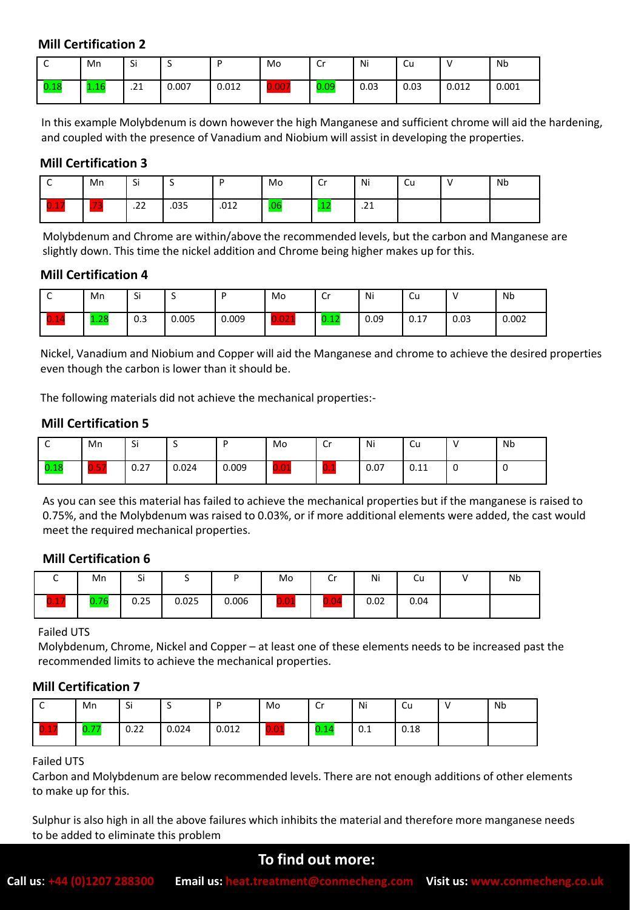#### **Mill Certification 2**

| ∼    | Mn      | Si                    |       |       | Mo    | Cr   | Ni   | .Cu  |       | <b>Nb</b> |
|------|---------|-----------------------|-------|-------|-------|------|------|------|-------|-----------|
| 0.18 | 10<br>. | $\mathbf{A}$<br>. 2 1 | 0.007 | 0.012 | 0.007 | 0.09 | 0.03 | 0.03 | 0.012 | 0.001     |

In this example Molybdenum is down however the high Manganese and sufficient chrome will aid the hardening, and coupled with the presence of Vanadium and Niobium will assist in developing the properties.

#### **Mill Certification 3**

| ∼                 | Mn          | Si         | ۰    |      | Mo  | <u>ີ່</u><br>ັບເ | Ni                  | ∽<br>Cu | Nb |
|-------------------|-------------|------------|------|------|-----|------------------|---------------------|---------|----|
| −<br>$\mathbf{D}$ | $\sim$<br>. | ີ<br>$-22$ | .035 | .012 | .ut | - -<br>.⊥∠       | $\mathbf{A}$<br>. 4 |         |    |

Molybdenum and Chrome are within/above the recommended levels, but the carbon and Manganese are slightly down. This time the nickel addition and Chrome being higher makes up for this.

#### **Mill Certification 4**

| ╰         | Mn         | Si  |       | D     | Mo    | Cr   | Ni   | -<br>ιu |      | Nb    |
|-----------|------------|-----|-------|-------|-------|------|------|---------|------|-------|
| −<br>0.14 | ാറ<br>L.ZO | 0.3 | 0.005 | 0.009 | 0.021 | 0.12 | 0.09 | 0.17    | 0.03 | 0.002 |

Nickel, Vanadium and Niobium and Copper will aid the Manganese and chrome to achieve the desired properties even though the carbon is lower than it should be.

The following materials did not achieve the mechanical properties:-

#### **Mill Certification 5**

|      | Mn   | Si   |       |       | Mo   | Cr   | Ni   | Cu   | <b>Nb</b> |
|------|------|------|-------|-------|------|------|------|------|-----------|
| 0.18 | 0.57 | 0.27 | 0.024 | 0.009 | 0.01 | ' DN | 0.07 | 0.11 |           |

As you can see this material has failed to achieve the mechanical properties but if the manganese is raised to 0.75%, and the Molybdenum was raised to 0.03%, or if more additional elements were added, the cast would meet the required mechanical properties.

#### **Mill Certification 6**

|      | Mn             | $\sim$<br>ы | -     |       | Mo            | $\mathsf{C}_{\mathsf{C}}$<br>ີ  | Ni   | ∽<br>Сu | Nb |
|------|----------------|-------------|-------|-------|---------------|---------------------------------|------|---------|----|
| 0.17 | 0.76<br>v. / u | 0.25        | 0.025 | 0.006 | $\sim$<br>IJ, | <b>CONTRACTOR</b><br>$0.0\cdot$ | 0.02 | 0.04    |    |

#### Failed UTS

Molybdenum, Chrome, Nickel and Copper – at least one of these elements needs to be increased past the recommended limits to achieve the mechanical properties.

#### **Mill Certification 7**

|                     | Mn   | Si   |       |       | Mo   | Cr   | Ni                | Cu   | Nb |
|---------------------|------|------|-------|-------|------|------|-------------------|------|----|
| ┍<br>$\blacksquare$ | 0.77 | 0.22 | 0.024 | 0.012 | 0.01 | 0.14 | $^{\circ}$<br>U.L | 0.18 |    |

#### Failed UTS

Carbon and Molybdenum are below recommended levels. There are not enough additions of other elements to make up for this.

Sulphur is also high in all the above failures which inhibits the material and therefore more manganese needs to be added to eliminate this problem

#### **To find out more:**